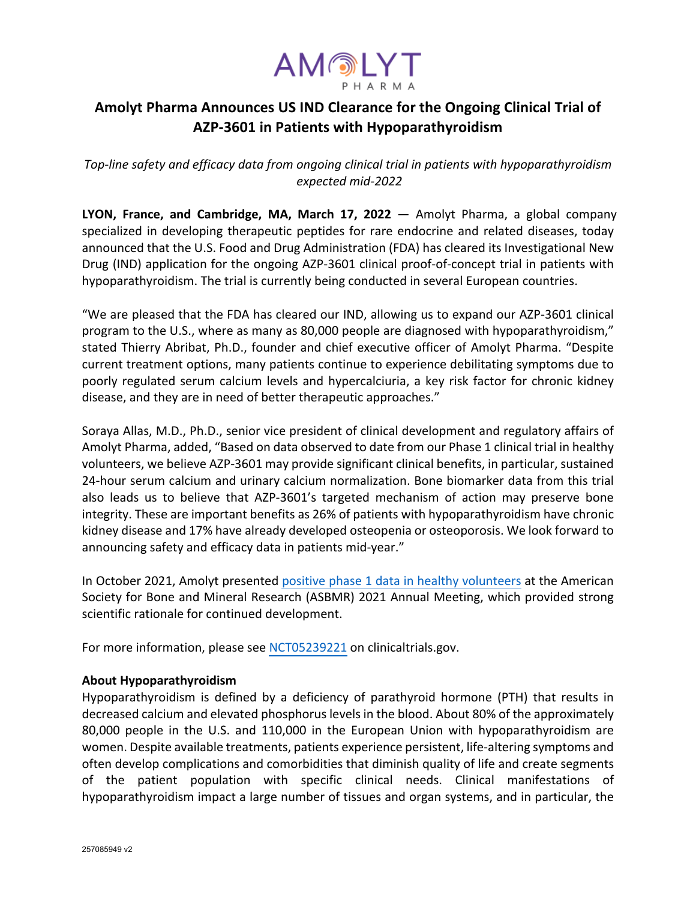

# **Amolyt Pharma Announces US IND Clearance for the Ongoing Clinical Trial of AZP-3601 in Patients with Hypoparathyroidism**

*Top-line safety and efficacy data from ongoing clinical trial in patients with hypoparathyroidism expected mid-2022* 

**LYON, France, and Cambridge, MA, March 17, 2022** — Amolyt Pharma, a global company specialized in developing therapeutic peptides for rare endocrine and related diseases, today announced that the U.S. Food and Drug Administration (FDA) has cleared its Investigational New Drug (IND) application for the ongoing AZP-3601 clinical proof-of-concept trial in patients with hypoparathyroidism. The trial is currently being conducted in several European countries.

"We are pleased that the FDA has cleared our IND, allowing us to expand our AZP-3601 clinical program to the U.S., where as many as 80,000 people are diagnosed with hypoparathyroidism," stated Thierry Abribat, Ph.D., founder and chief executive officer of Amolyt Pharma. "Despite current treatment options, many patients continue to experience debilitating symptoms due to poorly regulated serum calcium levels and hypercalciuria, a key risk factor for chronic kidney disease, and they are in need of better therapeutic approaches."

Soraya Allas, M.D., Ph.D., senior vice president of clinical development and regulatory affairs of Amolyt Pharma, added, "Based on data observed to date from our Phase 1 clinical trial in healthy volunteers, we believe AZP-3601 may provide significant clinical benefits, in particular, sustained 24-hour serum calcium and urinary calcium normalization. Bone biomarker data from this trial also leads us to believe that AZP-3601's targeted mechanism of action may preserve bone integrity. These are important benefits as 26% of patients with hypoparathyroidism have chronic kidney disease and 17% have already developed osteopenia or osteoporosis. We look forward to announcing safety and efficacy data in patients mid-year."

In October 2021, Amolyt presented positive phase 1 data in healthy volunteers at the American Society for Bone and Mineral Research (ASBMR) 2021 Annual Meeting, which provided strong scientific rationale for continued development.

For more information, please see NCT05239221 on clinicaltrials.gov.

## **About Hypoparathyroidism**

Hypoparathyroidism is defined by a deficiency of parathyroid hormone (PTH) that results in decreased calcium and elevated phosphorus levels in the blood. About 80% of the approximately 80,000 people in the U.S. and 110,000 in the European Union with hypoparathyroidism are women. Despite available treatments, patients experience persistent, life-altering symptoms and often develop complications and comorbidities that diminish quality of life and create segments of the patient population with specific clinical needs. Clinical manifestations of hypoparathyroidism impact a large number of tissues and organ systems, and in particular, the